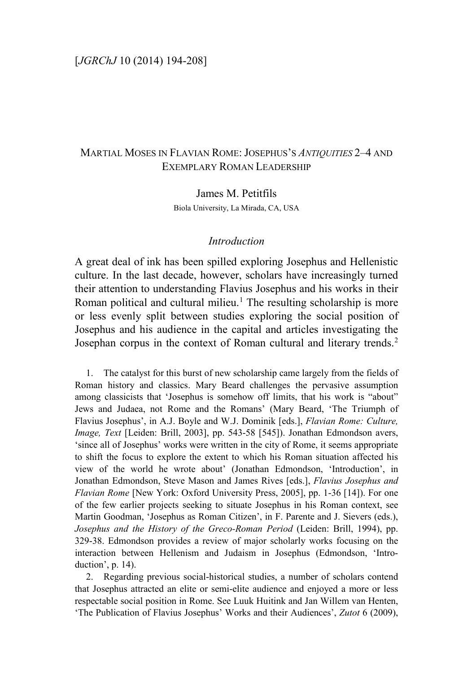# MARTIAL MOSES IN FLAVIAN ROME: JOSEPHUS'S *ANTIQUITIES* 2–4 AND EXEMPLARY ROMAN LEADERSHIP

James M. Petitfils Biola University, La Mirada, CA, USA

### *Introduction*

A great deal of ink has been spilled exploring Josephus and Hellenistic culture. In the last decade, however, scholars have increasingly turned their attention to understanding Flavius Josephus and his works in their Roman political and cultural milieu.<sup>[1](#page-0-0)</sup> The resulting scholarship is more or less evenly split between studies exploring the social position of Josephus and his audience in the capital and articles investigating the Josephan corpus in the context of Roman cultural and literary trends.[2](#page-0-1)

<span id="page-0-0"></span>1. The catalyst for this burst of new scholarship came largely from the fields of Roman history and classics. Mary Beard challenges the pervasive assumption among classicists that 'Josephus is somehow off limits, that his work is "about" Jews and Judaea, not Rome and the Romans' (Mary Beard, 'The Triumph of Flavius Josephus', in A.J. Boyle and W.J. Dominik [eds.], *Flavian Rome: Culture, Image, Text* [Leiden: Brill, 2003], pp. 543-58 [545]). Jonathan Edmondson avers, 'since all of Josephus' works were written in the city of Rome, it seems appropriate to shift the focus to explore the extent to which his Roman situation affected his view of the world he wrote about' (Jonathan Edmondson, 'Introduction', in Jonathan Edmondson, Steve Mason and James Rives [eds.], *Flavius Josephus and Flavian Rome* [New York: Oxford University Press, 2005], pp. 1-36 [14]). For one of the few earlier projects seeking to situate Josephus in his Roman context, see Martin Goodman, 'Josephus as Roman Citizen', in F. Parente and J. Sievers (eds.), *Josephus and the History of the Greco-Roman Period* (Leiden: Brill, 1994), pp. 329-38. Edmondson provides a review of major scholarly works focusing on the interaction between Hellenism and Judaism in Josephus (Edmondson, 'Introduction', p. 14).

<span id="page-0-1"></span>2. Regarding previous social-historical studies, a number of scholars contend that Josephus attracted an elite or semi-elite audience and enjoyed a more or less respectable social position in Rome. See Luuk Huitink and Jan Willem van Henten, 'The Publication of Flavius Josephus' Works and their Audiences', *Zutot* 6 (2009),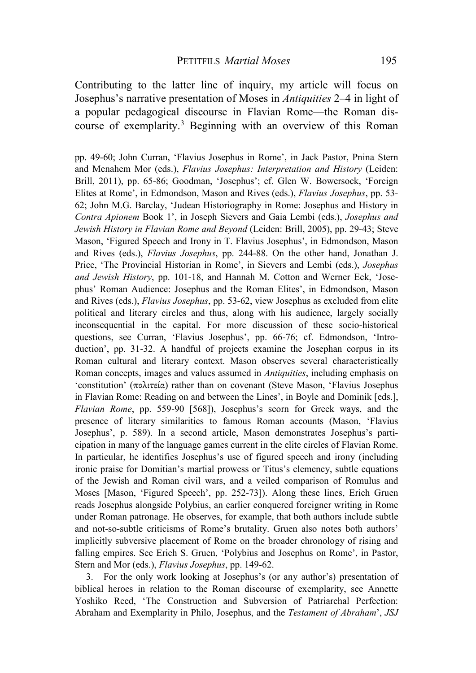Contributing to the latter line of inquiry, my article will focus on Josephus's narrative presentation of Moses in *Antiquities* 2–4 in light of a popular pedagogical discourse in Flavian Rome—the Roman discourse of exemplarity.[3](#page-1-0) Beginning with an overview of this Roman

pp. 49-60; John Curran, 'Flavius Josephus in Rome', in Jack Pastor, Pnina Stern and Menahem Mor (eds.), *Flavius Josephus: Interpretation and History* (Leiden: Brill, 2011), pp. 65-86; Goodman, 'Josephus'; cf. Glen W. Bowersock, 'Foreign Elites at Rome', in Edmondson, Mason and Rives (eds.), *Flavius Josephus*, pp. 53- 62; John M.G. Barclay, 'Judean Historiography in Rome: Josephus and History in *Contra Apionem* Book 1', in Joseph Sievers and Gaia Lembi (eds.), *Josephus and Jewish History in Flavian Rome and Beyond* (Leiden: Brill, 2005), pp. 29-43; Steve Mason, 'Figured Speech and Irony in T. Flavius Josephus', in Edmondson, Mason and Rives (eds.), *Flavius Josephus*, pp. 244-88. On the other hand, Jonathan J. Price, 'The Provincial Historian in Rome', in Sievers and Lembi (eds.), *Josephus and Jewish History*, pp. 101-18, and Hannah M. Cotton and Werner Eck, 'Josephus' Roman Audience: Josephus and the Roman Elites', in Edmondson, Mason and Rives (eds.), *Flavius Josephus*, pp. 53-62, view Josephus as excluded from elite political and literary circles and thus, along with his audience, largely socially inconsequential in the capital. For more discussion of these socio-historical questions, see Curran, 'Flavius Josephus', pp. 66-76; cf. Edmondson, 'Introduction', pp. 31-32. A handful of projects examine the Josephan corpus in its Roman cultural and literary context. Mason observes several characteristically Roman concepts, images and values assumed in *Antiquities*, including emphasis on 'constitution' (πολιτεία) rather than on covenant (Steve Mason, 'Flavius Josephus in Flavian Rome: Reading on and between the Lines', in Boyle and Dominik [eds.], *Flavian Rome*, pp. 559-90 [568]), Josephus's scorn for Greek ways, and the presence of literary similarities to famous Roman accounts (Mason, 'Flavius Josephus', p. 589). In a second article, Mason demonstrates Josephus's participation in many of the language games current in the elite circles of Flavian Rome. In particular, he identifies Josephus's use of figured speech and irony (including ironic praise for Domitian's martial prowess or Titus's clemency, subtle equations of the Jewish and Roman civil wars, and a veiled comparison of Romulus and Moses [Mason, 'Figured Speech', pp. 252-73]). Along these lines, Erich Gruen reads Josephus alongside Polybius, an earlier conquered foreigner writing in Rome under Roman patronage. He observes, for example, that both authors include subtle and not-so-subtle criticisms of Rome's brutality. Gruen also notes both authors' implicitly subversive placement of Rome on the broader chronology of rising and falling empires. See Erich S. Gruen, 'Polybius and Josephus on Rome', in Pastor, Stern and Mor (eds.), *Flavius Josephus*, pp. 149-62.

<span id="page-1-0"></span>3. For the only work looking at Josephus's (or any author's) presentation of biblical heroes in relation to the Roman discourse of exemplarity, see Annette Yoshiko Reed, 'The Construction and Subversion of Patriarchal Perfection: Abraham and Exemplarity in Philo, Josephus, and the *Testament of Abraham*', *JSJ*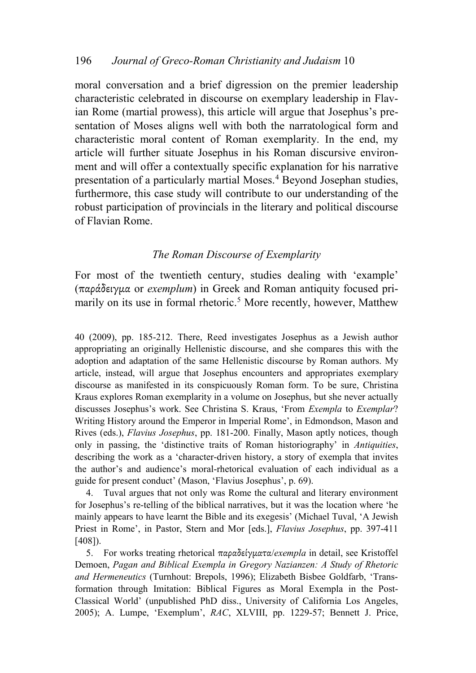moral conversation and a brief digression on the premier leadership characteristic celebrated in discourse on exemplary leadership in Flavian Rome (martial prowess), this article will argue that Josephus's presentation of Moses aligns well with both the narratological form and characteristic moral content of Roman exemplarity. In the end, my article will further situate Josephus in his Roman discursive environment and will offer a contextually specific explanation for his narrative presentation of a particularly martial Moses.[4](#page-2-0) Beyond Josephan studies, furthermore, this case study will contribute to our understanding of the robust participation of provincials in the literary and political discourse of Flavian Rome.

## *The Roman Discourse of Exemplarity*

For most of the twentieth century, studies dealing with 'example' (παράδειγμα or *exemplum*) in Greek and Roman antiquity focused pri-marily on its use in formal rhetoric.<sup>[5](#page-2-1)</sup> More recently, however, Matthew

40 (2009), pp. 185-212. There, Reed investigates Josephus as a Jewish author appropriating an originally Hellenistic discourse, and she compares this with the adoption and adaptation of the same Hellenistic discourse by Roman authors. My article, instead, will argue that Josephus encounters and appropriates exemplary discourse as manifested in its conspicuously Roman form. To be sure, Christina Kraus explores Roman exemplarity in a volume on Josephus, but she never actually discusses Josephus's work. See Christina S. Kraus, 'From *Exempla* to *Exemplar*? Writing History around the Emperor in Imperial Rome', in Edmondson, Mason and Rives (eds.), *Flavius Josephus*, pp. 181-200. Finally, Mason aptly notices, though only in passing, the 'distinctive traits of Roman historiography' in *Antiquities*, describing the work as a 'character-driven history, a story of exempla that invites the author's and audience's moral-rhetorical evaluation of each individual as a guide for present conduct' (Mason, 'Flavius Josephus', p. 69).

<span id="page-2-0"></span>4. Tuval argues that not only was Rome the cultural and literary environment for Josephus's re-telling of the biblical narratives, but it was the location where 'he mainly appears to have learnt the Bible and its exegesis' (Michael Tuval, 'A Jewish Priest in Rome', in Pastor, Stern and Mor [eds.], *Flavius Josephus*, pp. 397-411 [408]).

<span id="page-2-1"></span>5. For works treating rhetorical παραδείγματα/*exempla* in detail, see Kristoffel Demoen, *Pagan and Biblical Exempla in Gregory Nazianzen: A Study of Rhetoric and Hermeneutics* (Turnhout: Brepols, 1996); Elizabeth Bisbee Goldfarb, 'Transformation through Imitation: Biblical Figures as Moral Exempla in the Post-Classical World' (unpublished PhD diss., University of California Los Angeles, 2005); A. Lumpe, 'Exemplum', *RAC*, XLVIII, pp. 1229-57; Bennett J. Price,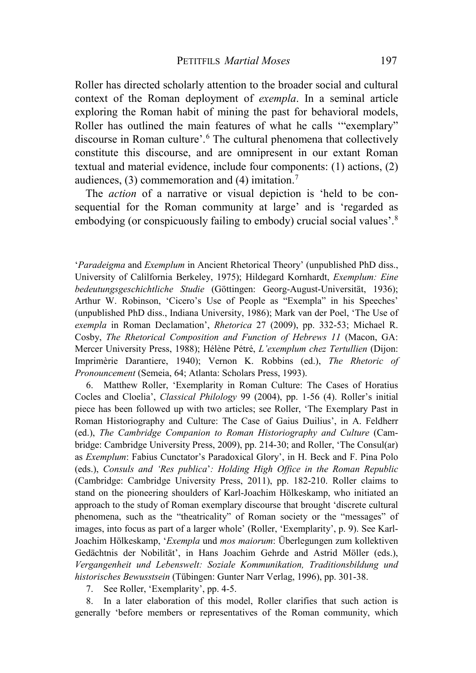Roller has directed scholarly attention to the broader social and cultural context of the Roman deployment of *exempla*. In a seminal article exploring the Roman habit of mining the past for behavioral models, Roller has outlined the main features of what he calls '"exemplary" discourse in Roman culture'. [6](#page-3-0) The cultural phenomena that collectively constitute this discourse, and are omnipresent in our extant Roman textual and material evidence, include four components: (1) actions, (2) audiences,  $(3)$  commemoration and  $(4)$  imitation.<sup>[7](#page-3-1)</sup>

The *action* of a narrative or visual depiction is 'held to be consequential for the Roman community at large' and is 'regarded as embodying (or conspicuously failing to embody) crucial social values'.[8](#page-3-2)

'*Paradeigma* and *Exemplum* in Ancient Rhetorical Theory' (unpublished PhD diss., University of Calilfornia Berkeley, 1975); Hildegard Kornhardt, *Exemplum: Eine bedeutungsgeschichtliche Studie* (Göttingen: Georg-August-Universität, 1936); Arthur W. Robinson, 'Cicero's Use of People as "Exempla" in his Speeches' (unpublished PhD diss., Indiana University, 1986); Mark van der Poel, 'The Use of *exempla* in Roman Declamation', *Rhetorica* 27 (2009), pp. 332-53; Michael R. Cosby, *The Rhetorical Composition and Function of Hebrews 11* (Macon, GA: Mercer University Press, 1988); Hélène Pétré, *L'exemplum chez Tertullien* (Dijon: Imprimèrie Darantiere, 1940); Vernon K. Robbins (ed.), *The Rhetoric of Pronouncement* (Semeia, 64; Atlanta: Scholars Press, 1993).

<span id="page-3-0"></span>6. Matthew Roller, 'Exemplarity in Roman Culture: The Cases of Horatius Cocles and Cloelia', *Classical Philology* 99 (2004), pp. 1-56 (4). Roller's initial piece has been followed up with two articles; see Roller, 'The Exemplary Past in Roman Historiography and Culture: The Case of Gaius Duilius', in A. Feldherr (ed.), *The Cambridge Companion to Roman Historiography and Culture* (Cambridge: Cambridge University Press, 2009), pp. 214-30; and Roller, 'The Consul(ar) as *Exemplum*: Fabius Cunctator's Paradoxical Glory', in H. Beck and F. Pina Polo (eds.), *Consuls and 'Res publica*'*: Holding High Office in the Roman Republic* (Cambridge: Cambridge University Press, 2011), pp. 182-210. Roller claims to stand on the pioneering shoulders of Karl-Joachim Hölkeskamp, who initiated an approach to the study of Roman exemplary discourse that brought 'discrete cultural phenomena, such as the "theatricality" of Roman society or the "messages" of images, into focus as part of a larger whole' (Roller, 'Exemplarity', p. 9). See Karl-Joachim Hölkeskamp, '*Exempla* und *mos maiorum*: Überlegungen zum kollektiven Gedächtnis der Nobilität', in Hans Joachim Gehrde and Astrid Möller (eds.), *Vergangenheit und Lebenswelt: Soziale Kommunikation, Traditionsbildung und historisches Bewusstsein* (Tübingen: Gunter Narr Verlag, 1996), pp. 301-38.

7. See Roller, 'Exemplarity', pp. 4-5.

<span id="page-3-2"></span><span id="page-3-1"></span>8. In a later elaboration of this model, Roller clarifies that such action is generally 'before members or representatives of the Roman community, which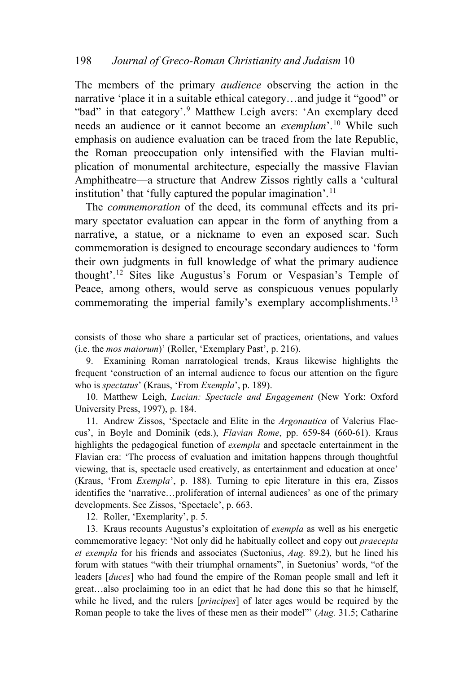The members of the primary *audience* observing the action in the narrative 'place it in a suitable ethical category…and judge it "good" or "bad" in that category'.[9](#page-4-0) Matthew Leigh avers: 'An exemplary deed needs an audience or it cannot become an *exemplum*'.[10](#page-4-1) While such emphasis on audience evaluation can be traced from the late Republic, the Roman preoccupation only intensified with the Flavian multiplication of monumental architecture, especially the massive Flavian Amphitheatre—a structure that Andrew Zissos rightly calls a 'cultural institution' that 'fully captured the popular imagination'.<sup>[11](#page-4-2)</sup>

The *commemoration* of the deed, its communal effects and its primary spectator evaluation can appear in the form of anything from a narrative, a statue, or a nickname to even an exposed scar. Such commemoration is designed to encourage secondary audiences to 'form their own judgments in full knowledge of what the primary audience thought'.[12](#page-4-3) Sites like Augustus's Forum or Vespasian's Temple of Peace, among others, would serve as conspicuous venues popularly commemorating the imperial family's exemplary accomplishments.<sup>[13](#page-4-4)</sup>

consists of those who share a particular set of practices, orientations, and values (i.e. the *mos maiorum*)' (Roller, 'Exemplary Past', p. 216).

<span id="page-4-0"></span>9. Examining Roman narratological trends, Kraus likewise highlights the frequent 'construction of an internal audience to focus our attention on the figure who is *spectatus*' (Kraus, 'From *Exempla*', p. 189).

<span id="page-4-1"></span>10. Matthew Leigh, *Lucian: Spectacle and Engagement* (New York: Oxford University Press, 1997), p. 184.

<span id="page-4-2"></span>11. Andrew Zissos, 'Spectacle and Elite in the *Argonautica* of Valerius Flaccus', in Boyle and Dominik (eds.), *Flavian Rome*, pp. 659-84 (660-61). Kraus highlights the pedagogical function of *exempla* and spectacle entertainment in the Flavian era: 'The process of evaluation and imitation happens through thoughtful viewing, that is, spectacle used creatively, as entertainment and education at once' (Kraus, 'From *Exempla*', p. 188). Turning to epic literature in this era, Zissos identifies the 'narrative…proliferation of internal audiences' as one of the primary developments. See Zissos, 'Spectacle', p. 663.

12. Roller, 'Exemplarity', p. 5.

<span id="page-4-4"></span><span id="page-4-3"></span>13. Kraus recounts Augustus's exploitation of *exempla* as well as his energetic commemorative legacy: 'Not only did he habitually collect and copy out *praecepta et exempla* for his friends and associates (Suetonius, *Aug.* 89.2), but he lined his forum with statues "with their triumphal ornaments", in Suetonius' words, "of the leaders [*duces*] who had found the empire of the Roman people small and left it great…also proclaiming too in an edict that he had done this so that he himself, while he lived, and the rulers [*principes*] of later ages would be required by the Roman people to take the lives of these men as their model"' (*Aug.* 31.5; Catharine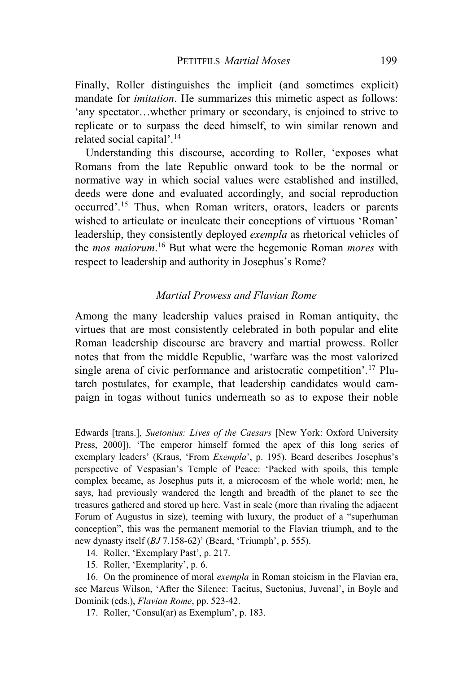Finally, Roller distinguishes the implicit (and sometimes explicit) mandate for *imitation*. He summarizes this mimetic aspect as follows: 'any spectator…whether primary or secondary, is enjoined to strive to replicate or to surpass the deed himself, to win similar renown and related social capital'.[14](#page-5-0)

Understanding this discourse, according to Roller, 'exposes what Romans from the late Republic onward took to be the normal or normative way in which social values were established and instilled, deeds were done and evaluated accordingly, and social reproduction occurred'.[15](#page-5-1) Thus, when Roman writers, orators, leaders or parents wished to articulate or inculcate their conceptions of virtuous 'Roman' leadership, they consistently deployed *exempla* as rhetorical vehicles of the *mos maiorum*. [16](#page-5-2) But what were the hegemonic Roman *mores* with respect to leadership and authority in Josephus's Rome?

## *Martial Prowess and Flavian Rome*

Among the many leadership values praised in Roman antiquity, the virtues that are most consistently celebrated in both popular and elite Roman leadership discourse are bravery and martial prowess. Roller notes that from the middle Republic, 'warfare was the most valorized single arena of civic performance and aristocratic competition'.<sup>[17](#page-5-3)</sup> Plutarch postulates, for example, that leadership candidates would campaign in togas without tunics underneath so as to expose their noble

Edwards [trans.], *Suetonius: Lives of the Caesars* [New York: Oxford University Press, 2000]). 'The emperor himself formed the apex of this long series of exemplary leaders' (Kraus, 'From *Exempla*', p. 195). Beard describes Josephus's perspective of Vespasian's Temple of Peace: 'Packed with spoils, this temple complex became, as Josephus puts it, a microcosm of the whole world; men, he says, had previously wandered the length and breadth of the planet to see the treasures gathered and stored up here. Vast in scale (more than rivaling the adjacent Forum of Augustus in size), teeming with luxury, the product of a "superhuman conception", this was the permanent memorial to the Flavian triumph, and to the new dynasty itself (*BJ* 7.158-62)' (Beard, 'Triumph', p. 555).

14. Roller, 'Exemplary Past', p. 217.

15. Roller, 'Exemplarity', p. 6.

<span id="page-5-3"></span><span id="page-5-2"></span><span id="page-5-1"></span><span id="page-5-0"></span>16. On the prominence of moral *exempla* in Roman stoicism in the Flavian era, see Marcus Wilson, 'After the Silence: Tacitus, Suetonius, Juvenal', in Boyle and Dominik (eds.), *Flavian Rome*, pp. 523-42.

17. Roller, 'Consul(ar) as Exemplum', p. 183.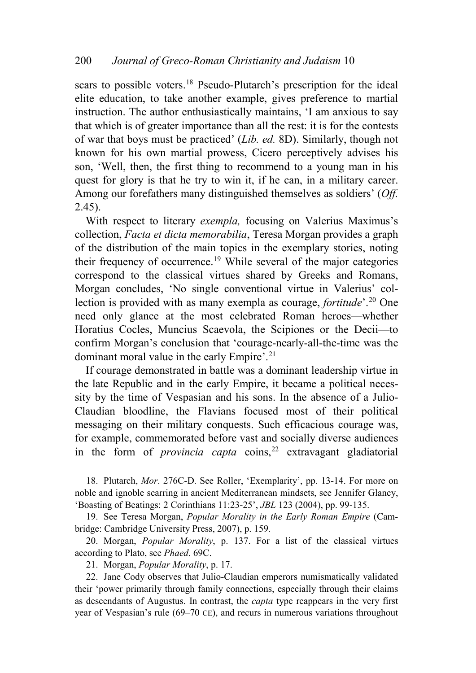scars to possible voters.<sup>[18](#page-6-0)</sup> Pseudo-Plutarch's prescription for the ideal elite education, to take another example, gives preference to martial instruction. The author enthusiastically maintains, 'I am anxious to say that which is of greater importance than all the rest: it is for the contests of war that boys must be practiced' (*Lib. ed.* 8D). Similarly, though not known for his own martial prowess, Cicero perceptively advises his son, 'Well, then, the first thing to recommend to a young man in his quest for glory is that he try to win it, if he can, in a military career. Among our forefathers many distinguished themselves as soldiers' (*Off.*  2.45).

With respect to literary *exempla,* focusing on Valerius Maximus's collection, *Facta et dicta memorabilia*, Teresa Morgan provides a graph of the distribution of the main topics in the exemplary stories, noting their frequency of occurrence. [19](#page-6-1) While several of the major categories correspond to the classical virtues shared by Greeks and Romans, Morgan concludes, 'No single conventional virtue in Valerius' collection is provided with as many exempla as courage, *fortitude*'.[20](#page-6-2) One need only glance at the most celebrated Roman heroes—whether Horatius Cocles, Muncius Scaevola, the Scipiones or the Decii—to confirm Morgan's conclusion that 'courage-nearly-all-the-time was the dominant moral value in the early Empire'. [21](#page-6-3)

If courage demonstrated in battle was a dominant leadership virtue in the late Republic and in the early Empire, it became a political necessity by the time of Vespasian and his sons. In the absence of a Julio-Claudian bloodline, the Flavians focused most of their political messaging on their military conquests. Such efficacious courage was, for example, commemorated before vast and socially diverse audiences in the form of *provincia capta* coins,<sup>[22](#page-6-4)</sup> extravagant gladiatorial

<span id="page-6-0"></span>18. Plutarch, *Mor*. 276C-D. See Roller, 'Exemplarity', pp. 13-14. For more on noble and ignoble scarring in ancient Mediterranean mindsets, see Jennifer Glancy, 'Boasting of Beatings: 2 Corinthians 11:23-25', *JBL* 123 (2004), pp. 99-135.

<span id="page-6-1"></span>19. See Teresa Morgan, *Popular Morality in the Early Roman Empire* (Cambridge: Cambridge University Press, 2007), p. 159.

<span id="page-6-2"></span>20. Morgan, *Popular Morality*, p. 137. For a list of the classical virtues according to Plato, see *Phaed*. 69C.

21. Morgan, *Popular Morality*, p. 17.

<span id="page-6-4"></span><span id="page-6-3"></span>22. Jane Cody observes that Julio-Claudian emperors numismatically validated their 'power primarily through family connections, especially through their claims as descendants of Augustus. In contrast, the *capta* type reappears in the very first year of Vespasian's rule (69–70 CE), and recurs in numerous variations throughout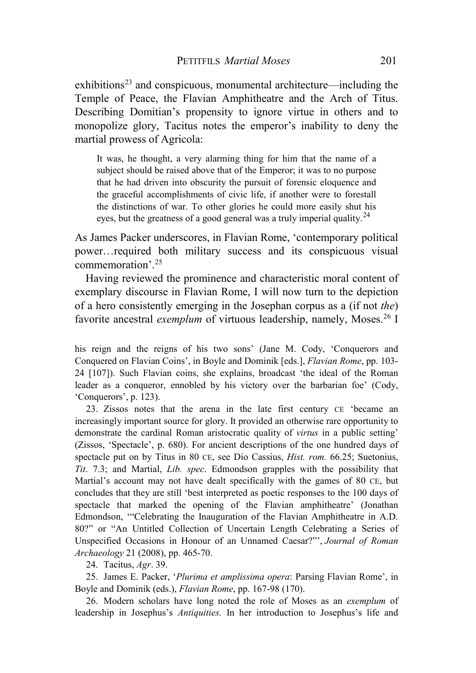$exhibitions<sup>23</sup>$  $exhibitions<sup>23</sup>$  $exhibitions<sup>23</sup>$  and conspicuous, monumental architecture—including the Temple of Peace, the Flavian Amphitheatre and the Arch of Titus. Describing Domitian's propensity to ignore virtue in others and to monopolize glory, Tacitus notes the emperor's inability to deny the martial prowess of Agricola:

It was, he thought, a very alarming thing for him that the name of a subject should be raised above that of the Emperor; it was to no purpose that he had driven into obscurity the pursuit of forensic eloquence and the graceful accomplishments of civic life, if another were to forestall the distinctions of war. To other glories he could more easily shut his eyes, but the greatness of a good general was a truly imperial quality.<sup>[24](#page-7-1)</sup>

As James Packer underscores, in Flavian Rome, 'contemporary political power…required both military success and its conspicuous visual commemoration'.[25](#page-7-2)

Having reviewed the prominence and characteristic moral content of exemplary discourse in Flavian Rome, I will now turn to the depiction of a hero consistently emerging in the Josephan corpus as a (if not *the*) favorite ancestral *exemplum* of virtuous leadership, namely, Moses.<sup>[26](#page-7-3)</sup> I

his reign and the reigns of his two sons' (Jane M. Cody, 'Conquerors and Conquered on Flavian Coins', in Boyle and Dominik [eds.], *Flavian Rome*, pp. 103- 24 [107]). Such Flavian coins, she explains, broadcast 'the ideal of the Roman leader as a conqueror, ennobled by his victory over the barbarian foe' (Cody, 'Conquerors', p. 123).

<span id="page-7-0"></span>23. Zissos notes that the arena in the late first century CE 'became an increasingly important source for glory. It provided an otherwise rare opportunity to demonstrate the cardinal Roman aristocratic quality of *virtus* in a public setting' (Zissos, 'Spectacle', p. 680). For ancient descriptions of the one hundred days of spectacle put on by Titus in 80 CE, see Dio Cassius, *Hist. rom.* 66.25; Suetonius, *Tit*. 7.3; and Martial, *Lib. spec*. Edmondson grapples with the possibility that Martial's account may not have dealt specifically with the games of 80 CE, but concludes that they are still 'best interpreted as poetic responses to the 100 days of spectacle that marked the opening of the Flavian amphitheatre' (Jonathan Edmondson, '"Celebrating the Inauguration of the Flavian Amphitheatre in A.D. 80?" or "An Untitled Collection of Uncertain Length Celebrating a Series of Unspecified Occasions in Honour of an Unnamed Caesar?"', *Journal of Roman Archaeology* 21 (2008), pp. 465-70.

24. Tacitus, *Agr*. 39.

<span id="page-7-2"></span><span id="page-7-1"></span>25. James E. Packer, '*Plurima et amplissima opera*: Parsing Flavian Rome', in Boyle and Dominik (eds.), *Flavian Rome*, pp. 167-98 (170).

<span id="page-7-3"></span>26. Modern scholars have long noted the role of Moses as an *exemplum* of leadership in Josephus's *Antiquities.* In her introduction to Josephus's life and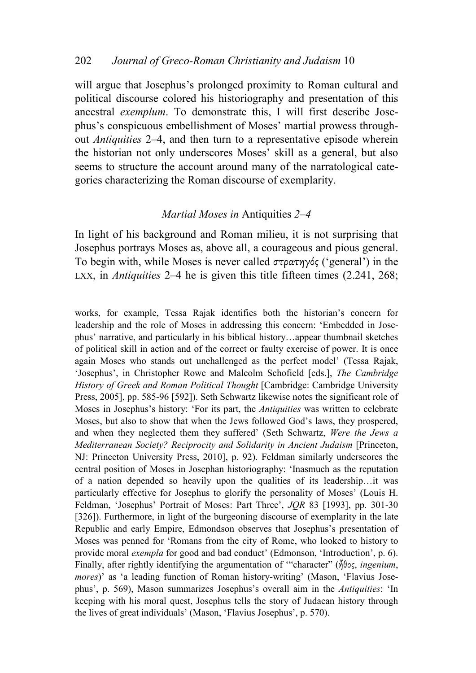will argue that Josephus's prolonged proximity to Roman cultural and political discourse colored his historiography and presentation of this ancestral *exemplum*. To demonstrate this, I will first describe Josephus's conspicuous embellishment of Moses' martial prowess throughout *Antiquities* 2–4, and then turn to a representative episode wherein the historian not only underscores Moses' skill as a general, but also seems to structure the account around many of the narratological categories characterizing the Roman discourse of exemplarity.

## *Martial Moses in* Antiquities *2–4*

In light of his background and Roman milieu, it is not surprising that Josephus portrays Moses as, above all, a courageous and pious general. To begin with, while Moses is never called στρατηγός ('general') in the LXX, in *Antiquities* 2–4 he is given this title fifteen times (2.241, 268;

works, for example, Tessa Rajak identifies both the historian's concern for leadership and the role of Moses in addressing this concern: 'Embedded in Josephus' narrative, and particularly in his biblical history…appear thumbnail sketches of political skill in action and of the correct or faulty exercise of power. It is once again Moses who stands out unchallenged as the perfect model' (Tessa Rajak, 'Josephus', in Christopher Rowe and Malcolm Schofield [eds.], *The Cambridge History of Greek and Roman Political Thought* [Cambridge: Cambridge University Press, 2005], pp. 585-96 [592]). Seth Schwartz likewise notes the significant role of Moses in Josephus's history: 'For its part, the *Antiquities* was written to celebrate Moses, but also to show that when the Jews followed God's laws, they prospered, and when they neglected them they suffered' (Seth Schwartz, *Were the Jews a Mediterranean Society? Reciprocity and Solidarity in Ancient Judaism* [Princeton, NJ: Princeton University Press, 2010], p. 92). Feldman similarly underscores the central position of Moses in Josephan historiography: 'Inasmuch as the reputation of a nation depended so heavily upon the qualities of its leadership…it was particularly effective for Josephus to glorify the personality of Moses' (Louis H. Feldman, 'Josephus' Portrait of Moses: Part Three', *JQR* 83 [1993], pp. 301-30 [326]). Furthermore, in light of the burgeoning discourse of exemplarity in the late Republic and early Empire, Edmondson observes that Josephus's presentation of Moses was penned for 'Romans from the city of Rome, who looked to history to provide moral *exempla* for good and bad conduct' (Edmonson, 'Introduction', p. 6). Finally, after rightly identifying the argumentation of '"character" (ἦθος, *ingenium*, *mores*)' as 'a leading function of Roman history-writing' (Mason, 'Flavius Josephus', p. 569), Mason summarizes Josephus's overall aim in the *Antiquities*: 'In keeping with his moral quest, Josephus tells the story of Judaean history through the lives of great individuals' (Mason, 'Flavius Josephus', p. 570).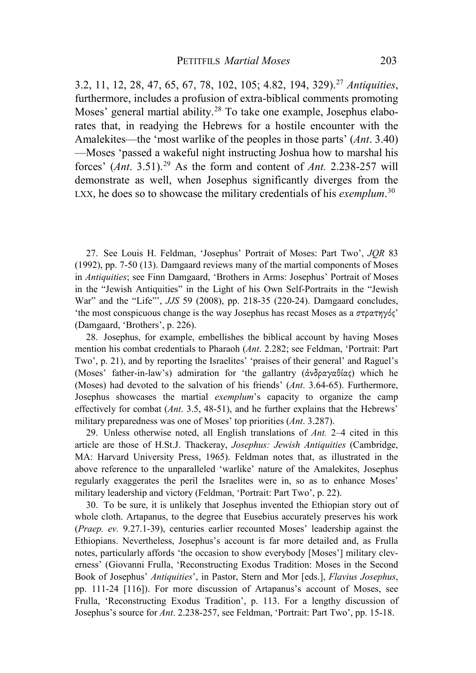3.2, 11, 12, 28, 47, 65, 67, 78, 102, 105; 4.82, 194, 329).[27](#page-9-0) *Antiquities*, furthermore, includes a profusion of extra-biblical comments promoting Moses' general martial ability. [28](#page-9-1) To take one example, Josephus elaborates that, in readying the Hebrews for a hostile encounter with the Amalekites—the 'most warlike of the peoples in those parts' (*Ant*. 3.40) —Moses 'passed a wakeful night instructing Joshua how to marshal his forces' (*Ant*. 3.51).[29](#page-9-2) As the form and content of *Ant.* 2.238-257 will demonstrate as well, when Josephus significantly diverges from the LXX, he does so to showcase the military credentials of his *exemplum*. [30](#page-9-3)

<span id="page-9-0"></span>27. See Louis H. Feldman, 'Josephus' Portrait of Moses: Part Two', *JQR* 83 (1992), pp. 7-50 (13). Damgaard reviews many of the martial components of Moses in *Antiquities*; see Finn Damgaard, 'Brothers in Arms: Josephus' Portrait of Moses in the "Jewish Antiquities" in the Light of his Own Self-Portraits in the "Jewish War" and the "Life"', *JJS* 59 (2008), pp. 218-35 (220-24). Damgaard concludes, 'the most conspicuous change is the way Josephus has recast Moses as a στρατηγός' (Damgaard, 'Brothers', p. 226).

<span id="page-9-1"></span>28. Josephus, for example, embellishes the biblical account by having Moses mention his combat credentials to Pharaoh (*Ant*. 2.282; see Feldman, 'Portrait: Part Two', p. 21), and by reporting the Israelites' 'praises of their general' and Raguel's (Moses' father-in-law's) admiration for 'the gallantry (ἀνδραγαθίας) which he (Moses) had devoted to the salvation of his friends' (*Ant*. 3.64-65). Furthermore, Josephus showcases the martial *exemplum*'s capacity to organize the camp effectively for combat (*Ant*. 3.5, 48-51), and he further explains that the Hebrews' military preparedness was one of Moses' top priorities (*Ant*. 3.287).

<span id="page-9-2"></span>29. Unless otherwise noted, all English translations of *Ant.* 2–4 cited in this article are those of H.St.J. Thackeray, *Josephus: Jewish Antiquities* (Cambridge, MA: Harvard University Press, 1965). Feldman notes that, as illustrated in the above reference to the unparalleled 'warlike' nature of the Amalekites, Josephus regularly exaggerates the peril the Israelites were in, so as to enhance Moses' military leadership and victory (Feldman, 'Portrait: Part Two', p. 22).

<span id="page-9-3"></span>30. To be sure, it is unlikely that Josephus invented the Ethiopian story out of whole cloth. Artapanus, to the degree that Eusebius accurately preserves his work (*Praep. ev.* 9.27.1-39), centuries earlier recounted Moses' leadership against the Ethiopians. Nevertheless, Josephus's account is far more detailed and, as Frulla notes, particularly affords 'the occasion to show everybody [Moses'] military cleverness' (Giovanni Frulla, 'Reconstructing Exodus Tradition: Moses in the Second Book of Josephus' *Antiquities*', in Pastor, Stern and Mor [eds.], *Flavius Josephus*, pp. 111-24 [116]). For more discussion of Artapanus's account of Moses, see Frulla, 'Reconstructing Exodus Tradition', p. 113. For a lengthy discussion of Josephus's source for *Ant*. 2.238-257, see Feldman, 'Portrait: Part Two', pp. 15-18.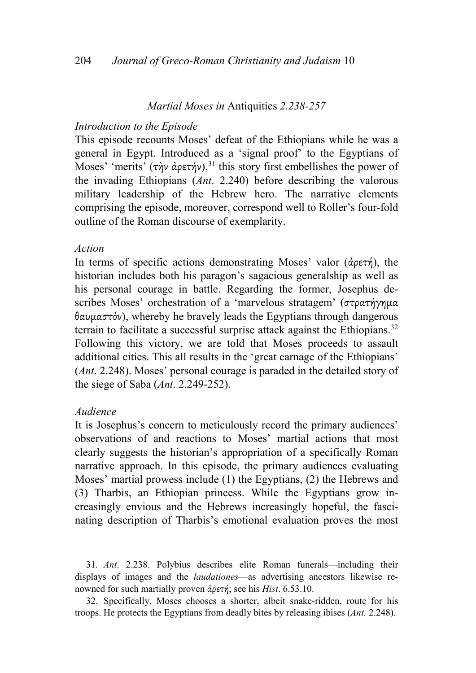## *Martial Moses in* Antiquities *2.238-257*

#### *Introduction to the Episode*

This episode recounts Moses' defeat of the Ethiopians while he was a general in Egypt. Introduced as a 'signal proof' to the Egyptians of Moses' 'merits' (τὴν ἀρετήν),<sup>[31](#page-10-0)</sup> this story first embellishes the power of the invading Ethiopians (*Ant*. 2.240) before describing the valorous military leadership of the Hebrew hero. The narrative elements comprising the episode, moreover, correspond well to Roller's four-fold outline of the Roman discourse of exemplarity.

#### *Action*

In terms of specific actions demonstrating Moses' valor (ἀρετή), the historian includes both his paragon's sagacious generalship as well as his personal courage in battle. Regarding the former, Josephus describes Moses' orchestration of a 'marvelous stratagem' (στρατήγημα θαυμαστόν), whereby he bravely leads the Egyptians through dangerous terrain to facilitate a successful surprise attack against the Ethiopians.<sup>[32](#page-10-1)</sup> Following this victory, we are told that Moses proceeds to assault additional cities. This all results in the 'great carnage of the Ethiopians' (*Ant*. 2.248). Moses' personal courage is paraded in the detailed story of the siege of Saba (*Ant*. 2.249-252).

#### *Audience*

It is Josephus's concern to meticulously record the primary audiences' observations of and reactions to Moses' martial actions that most clearly suggests the historian's appropriation of a specifically Roman narrative approach. In this episode, the primary audiences evaluating Moses' martial prowess include (1) the Egyptians, (2) the Hebrews and (3) Tharbis, an Ethiopian princess. While the Egyptians grow increasingly envious and the Hebrews increasingly hopeful, the fascinating description of Tharbis's emotional evaluation proves the most

<span id="page-10-0"></span>31*. Ant*. 2.238. Polybius describes elite Roman funerals—including their displays of images and the *laudationes*—as advertising ancestors likewise renowned for such martially proven ἀρετή; see his *Hist*. 6.53.10.

<span id="page-10-1"></span>32. Specifically, Moses chooses a shorter, albeit snake-ridden, route for his troops. He protects the Egyptians from deadly bites by releasing ibises (*Ant.* 2.248).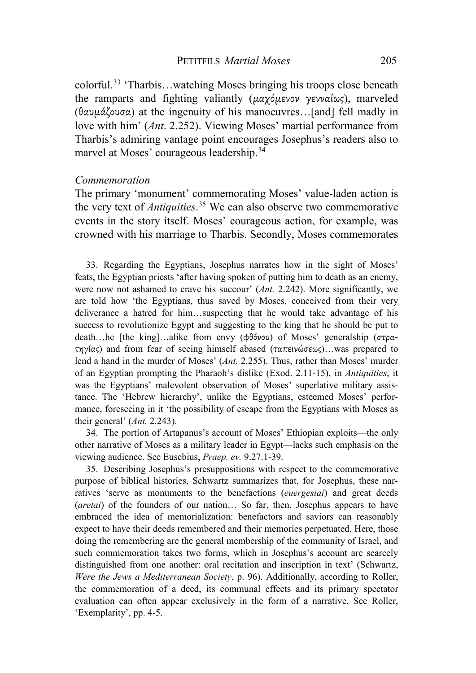colorful. [33](#page-11-0) 'Tharbis…watching Moses bringing his troops close beneath the ramparts and fighting valiantly (μαχόμενον γενναίως), marveled (θαυμάζουσα) at the ingenuity of his manoeuvres…[and] fell madly in love with him' (*Ant*. 2.252). Viewing Moses' martial performance from Tharbis's admiring vantage point encourages Josephus's readers also to marvel at Moses' courageous leadership.<sup>[34](#page-11-1)</sup>

### *Commemoration*

The primary 'monument' commemorating Moses' value-laden action is the very text of *Antiquities*. [35](#page-11-2) We can also observe two commemorative events in the story itself. Moses' courageous action, for example, was crowned with his marriage to Tharbis. Secondly, Moses commemorates

<span id="page-11-0"></span>33. Regarding the Egyptians, Josephus narrates how in the sight of Moses' feats, the Egyptian priests 'after having spoken of putting him to death as an enemy, were now not ashamed to crave his succour' (*Ant.* 2.242). More significantly, we are told how 'the Egyptians, thus saved by Moses, conceived from their very deliverance a hatred for him…suspecting that he would take advantage of his success to revolutionize Egypt and suggesting to the king that he should be put to death…he [the king]…alike from envy (φθόνου) of Moses' generalship (στρατηγίας) and from fear of seeing himself abased (ταπεινώσεως)…was prepared to lend a hand in the murder of Moses' (*Ant.* 2.255). Thus, rather than Moses' murder of an Egyptian prompting the Pharaoh's dislike (Exod. 2.11-15), in *Antiquities*, it was the Egyptians' malevolent observation of Moses' superlative military assistance. The 'Hebrew hierarchy', unlike the Egyptians, esteemed Moses' performance, foreseeing in it 'the possibility of escape from the Egyptians with Moses as their general' (*Ant.* 2.243).

<span id="page-11-1"></span>34. The portion of Artapanus's account of Moses' Ethiopian exploits—the only other narrative of Moses as a military leader in Egypt—lacks such emphasis on the viewing audience. See Eusebius, *Praep. ev.* 9.27.1-39.

<span id="page-11-2"></span>35. Describing Josephus's presuppositions with respect to the commemorative purpose of biblical histories, Schwartz summarizes that, for Josephus, these narratives 'serve as monuments to the benefactions (*euergesiai*) and great deeds (*aretai*) of the founders of our nation… So far, then, Josephus appears to have embraced the idea of memorialization: benefactors and saviors can reasonably expect to have their deeds remembered and their memories perpetuated. Here, those doing the remembering are the general membership of the community of Israel, and such commemoration takes two forms, which in Josephus's account are scarcely distinguished from one another: oral recitation and inscription in text' (Schwartz, *Were the Jews a Mediterranean Society*, p. 96). Additionally, according to Roller, the commemoration of a deed, its communal effects and its primary spectator evaluation can often appear exclusively in the form of a narrative. See Roller, 'Exemplarity', pp. 4-5.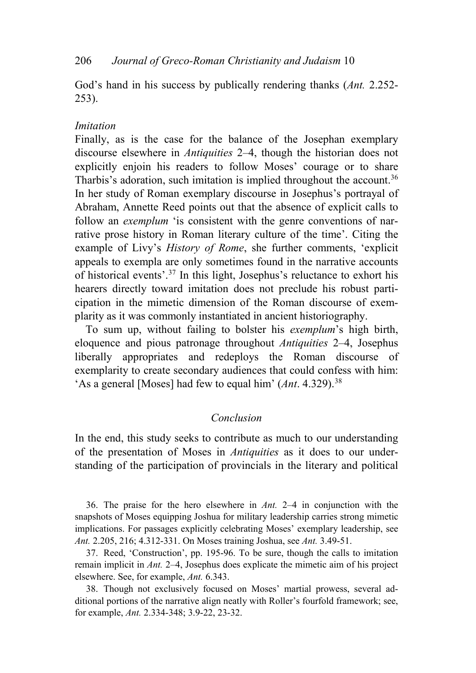God's hand in his success by publically rendering thanks (*Ant.* 2.252- 253).

## *Imitation*

Finally, as is the case for the balance of the Josephan exemplary discourse elsewhere in *Antiquities* 2–4, though the historian does not explicitly enjoin his readers to follow Moses' courage or to share Tharbis's adoration, such imitation is implied throughout the account.<sup>[36](#page-12-0)</sup> In her study of Roman exemplary discourse in Josephus's portrayal of Abraham, Annette Reed points out that the absence of explicit calls to follow an *exemplum* 'is consistent with the genre conventions of narrative prose history in Roman literary culture of the time'. Citing the example of Livy's *History of Rome*, she further comments, 'explicit appeals to exempla are only sometimes found in the narrative accounts of historical events'. [37](#page-12-1) In this light, Josephus's reluctance to exhort his hearers directly toward imitation does not preclude his robust participation in the mimetic dimension of the Roman discourse of exemplarity as it was commonly instantiated in ancient historiography.

To sum up, without failing to bolster his *exemplum*'s high birth, eloquence and pious patronage throughout *Antiquities* 2–4, Josephus liberally appropriates and redeploys the Roman discourse of exemplarity to create secondary audiences that could confess with him: 'As a general [Moses] had few to equal him' (*Ant*. 4.329).[38](#page-12-2)

## *Conclusion*

In the end, this study seeks to contribute as much to our understanding of the presentation of Moses in *Antiquities* as it does to our understanding of the participation of provincials in the literary and political

<span id="page-12-0"></span>36. The praise for the hero elsewhere in *Ant.* 2–4 in conjunction with the snapshots of Moses equipping Joshua for military leadership carries strong mimetic implications. For passages explicitly celebrating Moses' exemplary leadership, see *Ant.* 2.205, 216; 4.312-331. On Moses training Joshua, see *Ant.* 3.49-51.

<span id="page-12-1"></span>37. Reed, 'Construction', pp. 195-96. To be sure, though the calls to imitation remain implicit in *Ant.* 2–4, Josephus does explicate the mimetic aim of his project elsewhere. See, for example, *Ant.* 6.343.

<span id="page-12-2"></span>38. Though not exclusively focused on Moses' martial prowess, several additional portions of the narrative align neatly with Roller's fourfold framework; see, for example, *Ant.* 2.334-348; 3.9-22, 23-32.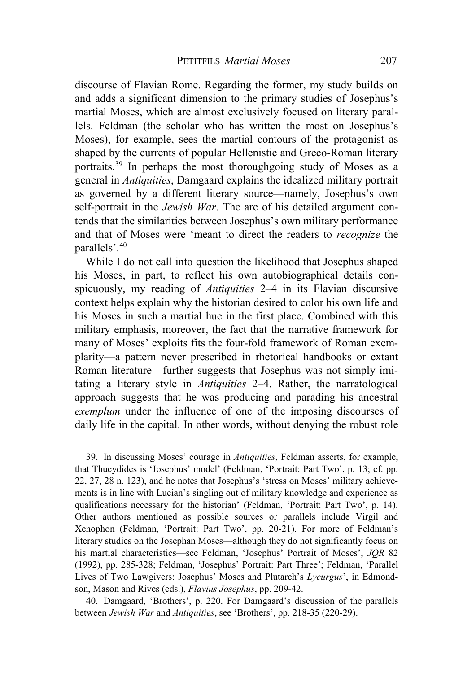discourse of Flavian Rome. Regarding the former, my study builds on and adds a significant dimension to the primary studies of Josephus's martial Moses, which are almost exclusively focused on literary parallels. Feldman (the scholar who has written the most on Josephus's Moses), for example, sees the martial contours of the protagonist as shaped by the currents of popular Hellenistic and Greco-Roman literary portraits.[39](#page-13-0) In perhaps the most thoroughgoing study of Moses as a general in *Antiquities*, Damgaard explains the idealized military portrait as governed by a different literary source—namely, Josephus's own self-portrait in the *Jewish War*. The arc of his detailed argument contends that the similarities between Josephus's own military performance and that of Moses were 'meant to direct the readers to *recognize* the parallels'.[40](#page-13-1)

While I do not call into question the likelihood that Josephus shaped his Moses, in part, to reflect his own autobiographical details conspicuously, my reading of *Antiquities* 2–4 in its Flavian discursive context helps explain why the historian desired to color his own life and his Moses in such a martial hue in the first place. Combined with this military emphasis, moreover, the fact that the narrative framework for many of Moses' exploits fits the four-fold framework of Roman exemplarity—a pattern never prescribed in rhetorical handbooks or extant Roman literature—further suggests that Josephus was not simply imitating a literary style in *Antiquities* 2–4. Rather, the narratological approach suggests that he was producing and parading his ancestral *exemplum* under the influence of one of the imposing discourses of daily life in the capital. In other words, without denying the robust role

<span id="page-13-0"></span>39. In discussing Moses' courage in *Antiquities*, Feldman asserts, for example, that Thucydides is 'Josephus' model' (Feldman, 'Portrait: Part Two', p. 13; cf. pp. 22, 27, 28 n. 123), and he notes that Josephus's 'stress on Moses' military achievements is in line with Lucian's singling out of military knowledge and experience as qualifications necessary for the historian' (Feldman, 'Portrait: Part Two', p. 14). Other authors mentioned as possible sources or parallels include Virgil and Xenophon (Feldman, 'Portrait: Part Two', pp. 20-21). For more of Feldman's literary studies on the Josephan Moses—although they do not significantly focus on his martial characteristics—see Feldman, 'Josephus' Portrait of Moses', *JQR* 82 (1992), pp. 285-328; Feldman, 'Josephus' Portrait: Part Three'; Feldman, 'Parallel Lives of Two Lawgivers: Josephus' Moses and Plutarch's *Lycurgus*', in Edmondson, Mason and Rives (eds.), *Flavius Josephus*, pp. 209-42.

<span id="page-13-1"></span>40. Damgaard, 'Brothers', p. 220. For Damgaard's discussion of the parallels between *Jewish War* and *Antiquities*, see 'Brothers', pp. 218-35 (220-29).